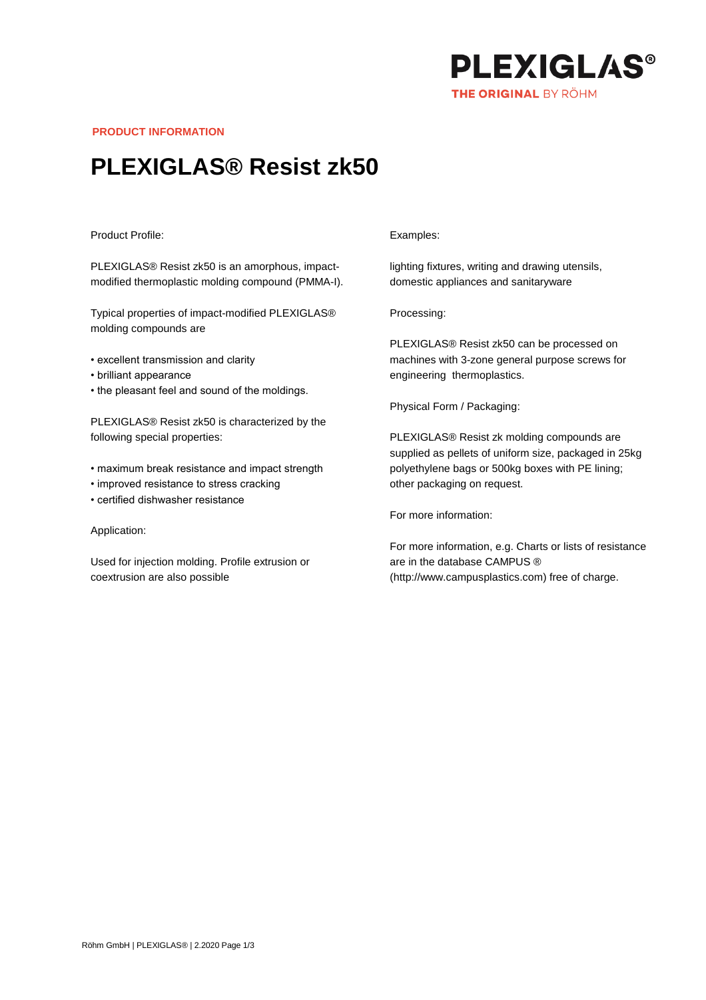

**PRODUCT INFORMATION**

# **PLEXIGLAS® Resist zk50**

### Product Profile:

PLEXIGLAS® Resist zk50 is an amorphous, impactmodified thermoplastic molding compound (PMMA-I).

Typical properties of impact-modified PLEXIGLAS® molding compounds are

- excellent transmission and clarity
- brilliant appearance
- the pleasant feel and sound of the moldings.

PLEXIGLAS® Resist zk50 is characterized by the following special properties:

- maximum break resistance and impact strength
- improved resistance to stress cracking
- certified dishwasher resistance

## Application:

Used for injection molding. Profile extrusion or coextrusion are also possible

#### Examples:

lighting fixtures, writing and drawing utensils, domestic appliances and sanitaryware

Processing:

PLEXIGLAS® Resist zk50 can be processed on machines with 3-zone general purpose screws for engineering thermoplastics.

Physical Form / Packaging:

PLEXIGLAS® Resist zk molding compounds are supplied as pellets of uniform size, packaged in 25kg polyethylene bags or 500kg boxes with PE lining; other packaging on request.

For more information:

For more information, e.g. Charts or lists of resistance are in the database CAMPUS ® (http://www.campusplastics.com) free of charge.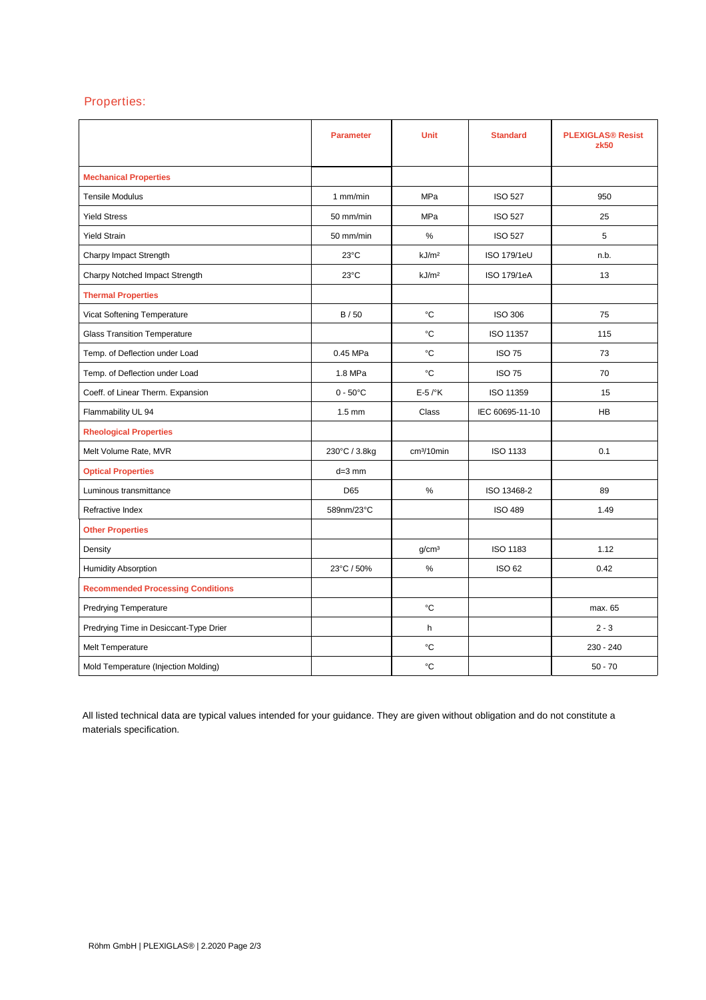# Properties:

|                                          | <b>Parameter</b>   | <b>Unit</b>            | <b>Standard</b> | <b>PLEXIGLAS® Resist</b><br>zk50 |
|------------------------------------------|--------------------|------------------------|-----------------|----------------------------------|
| <b>Mechanical Properties</b>             |                    |                        |                 |                                  |
| <b>Tensile Modulus</b>                   | 1 mm/min           | <b>MPa</b>             | <b>ISO 527</b>  | 950                              |
| <b>Yield Stress</b>                      | 50 mm/min          | <b>MPa</b>             | <b>ISO 527</b>  | 25                               |
| <b>Yield Strain</b>                      | 50 mm/min          | %                      | <b>ISO 527</b>  | 5                                |
| Charpy Impact Strength                   | 23°C               | kJ/m <sup>2</sup>      | ISO 179/1eU     | n.b.                             |
| Charpy Notched Impact Strength           | $23^{\circ}$ C     | kJ/m <sup>2</sup>      | ISO 179/1eA     | 13                               |
| <b>Thermal Properties</b>                |                    |                        |                 |                                  |
| Vicat Softening Temperature              | B/50               | °C                     | <b>ISO 306</b>  | 75                               |
| <b>Glass Transition Temperature</b>      |                    | °C                     | ISO 11357       | 115                              |
| Temp. of Deflection under Load           | 0.45 MPa           | °C                     | <b>ISO 75</b>   | 73                               |
| Temp. of Deflection under Load           | 1.8 MPa            | °C                     | <b>ISO 75</b>   | 70                               |
| Coeff. of Linear Therm. Expansion        | $0 - 50^{\circ}$ C | $E-5$ / $\mathrm{K}$   | ISO 11359       | 15                               |
| Flammability UL 94                       | $1.5 \text{ mm}$   | Class                  | IEC 60695-11-10 | <b>HB</b>                        |
| <b>Rheological Properties</b>            |                    |                        |                 |                                  |
| Melt Volume Rate, MVR                    | 230°C / 3.8kg      | cm <sup>3</sup> /10min | <b>ISO 1133</b> | 0.1                              |
| <b>Optical Properties</b>                | $d=3$ mm           |                        |                 |                                  |
| Luminous transmittance                   | D65                | %                      | ISO 13468-2     | 89                               |
| Refractive Index                         | 589nm/23°C         |                        | <b>ISO 489</b>  | 1.49                             |
| <b>Other Properties</b>                  |                    |                        |                 |                                  |
| Density                                  |                    | g/cm <sup>3</sup>      | ISO 1183        | 1.12                             |
| <b>Humidity Absorption</b>               | 23°C / 50%         | $\%$                   | <b>ISO 62</b>   | 0.42                             |
| <b>Recommended Processing Conditions</b> |                    |                        |                 |                                  |
| <b>Predrying Temperature</b>             |                    | °C                     |                 | max. 65                          |
| Predrying Time in Desiccant-Type Drier   |                    | h                      |                 | $2 - 3$                          |
| Melt Temperature                         |                    | °C                     |                 | $230 - 240$                      |
| Mold Temperature (Injection Molding)     |                    | °C                     |                 | $50 - 70$                        |

All listed technical data are typical values intended for your guidance. They are given without obligation and do not constitute a materials specification.